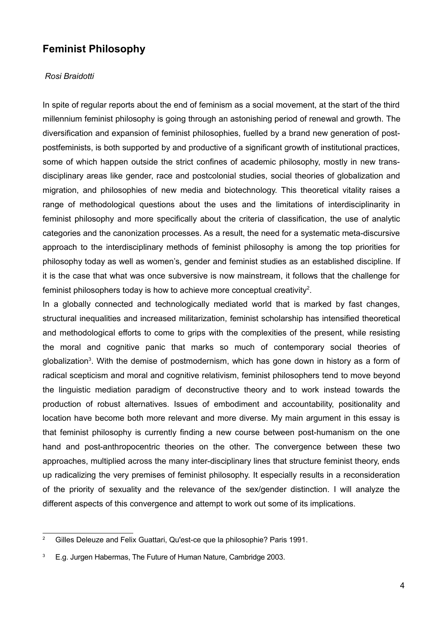# **Feminist Philosophy**

# *Rosi Braidotti*

In spite of regular reports about the end of feminism as a social movement, at the start of the third millennium feminist philosophy is going through an astonishing period of renewal and growth. The diversification and expansion of feminist philosophies, fuelled by a brand new generation of postpostfeminists, is both supported by and productive of a significant growth of institutional practices, some of which happen outside the strict confines of academic philosophy, mostly in new transdisciplinary areas like gender, race and postcolonial studies, social theories of globalization and migration, and philosophies of new media and biotechnology. This theoretical vitality raises a range of methodological questions about the uses and the limitations of interdisciplinarity in feminist philosophy and more specifically about the criteria of classification, the use of analytic categories and the canonization processes. As a result, the need for a systematic meta-discursive approach to the interdisciplinary methods of feminist philosophy is among the top priorities for philosophy today as well as women's, gender and feminist studies as an established discipline. If it is the case that what was once subversive is now mainstream, it follows that the challenge for feminist philosophers today is how to achieve more conceptual creativity<sup>[2](#page-0-0)</sup>.

In a globally connected and technologically mediated world that is marked by fast changes, structural inequalities and increased militarization, feminist scholarship has intensified theoretical and methodological efforts to come to grips with the complexities of the present, while resisting the moral and cognitive panic that marks so much of contemporary social theories of globalization<sup>[3](#page-0-1)</sup>. With the demise of postmodernism, which has gone down in history as a form of radical scepticism and moral and cognitive relativism, feminist philosophers tend to move beyond the linguistic mediation paradigm of deconstructive theory and to work instead towards the production of robust alternatives. Issues of embodiment and accountability, positionality and location have become both more relevant and more diverse. My main argument in this essay is that feminist philosophy is currently finding a new course between post-humanism on the one hand and post-anthropocentric theories on the other. The convergence between these two approaches, multiplied across the many inter-disciplinary lines that structure feminist theory, ends up radicalizing the very premises of feminist philosophy. It especially results in a reconsideration of the priority of sexuality and the relevance of the sex/gender distinction. I will analyze the different aspects of this convergence and attempt to work out some of its implications.

<span id="page-0-0"></span><sup>&</sup>lt;sup>2</sup> Gilles Deleuze and Felix Guattari, Qu'est-ce que la philosophie? Paris 1991.

<span id="page-0-1"></span> $3$  E.g. Jurgen Habermas, The Future of Human Nature, Cambridge 2003.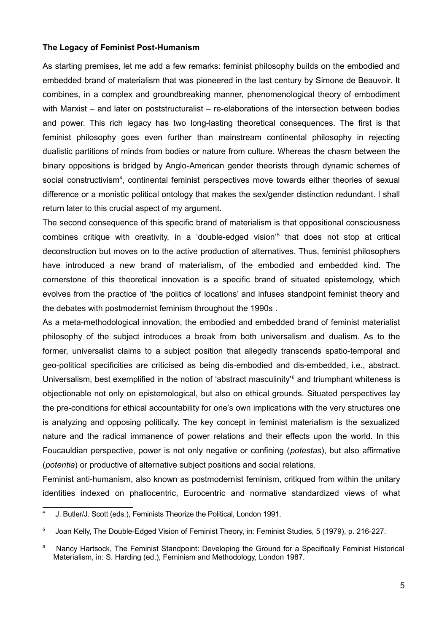## **The Legacy of Feminist Post-Humanism**

As starting premises, let me add a few remarks: feminist philosophy builds on the embodied and embedded brand of materialism that was pioneered in the last century by Simone de Beauvoir. It combines, in a complex and groundbreaking manner, phenomenological theory of embodiment with Marxist – and later on poststructuralist – re-elaborations of the intersection between bodies and power. This rich legacy has two long-lasting theoretical consequences. The first is that feminist philosophy goes even further than mainstream continental philosophy in rejecting dualistic partitions of minds from bodies or nature from culture. Whereas the chasm between the binary oppositions is bridged by Anglo-American gender theorists through dynamic schemes of social constructivism<sup>[4](#page-1-0)</sup>, continental feminist perspectives move towards either theories of sexual difference or a monistic political ontology that makes the sex/gender distinction redundant. I shall return later to this crucial aspect of my argument.

The second consequence of this specific brand of materialism is that oppositional consciousness combines critique with creativity, in a 'double-edged vision'<sup>[5](#page-1-1)</sup> that does not stop at critical deconstruction but moves on to the active production of alternatives. Thus, feminist philosophers have introduced a new brand of materialism, of the embodied and embedded kind. The cornerstone of this theoretical innovation is a specific brand of situated epistemology, which evolves from the practice of 'the politics of locations' and infuses standpoint feminist theory and the debates with postmodernist feminism throughout the 1990s .

As a meta-methodological innovation, the embodied and embedded brand of feminist materialist philosophy of the subject introduces a break from both universalism and dualism. As to the former, universalist claims to a subject position that allegedly transcends spatio-temporal and geo-political specificities are criticised as being dis-embodied and dis-embedded, i.e., abstract. Universalism, best exemplified in the notion of 'abstract masculinity'<sup>[6](#page-1-2)</sup> and triumphant whiteness is objectionable not only on epistemological, but also on ethical grounds. Situated perspectives lay the pre-conditions for ethical accountability for one's own implications with the very structures one is analyzing and opposing politically. The key concept in feminist materialism is the sexualized nature and the radical immanence of power relations and their effects upon the world. In this Foucauldian perspective, power is not only negative or confining (*potestas*), but also affirmative (*potentia*) or productive of alternative subject positions and social relations.

Feminist anti-humanism, also known as postmodernist feminism, critiqued from within the unitary identities indexed on phallocentric, Eurocentric and normative standardized views of what

<span id="page-1-0"></span><sup>4</sup> J. Butler/J. Scott (eds.), Feminists Theorize the Political, London 1991.

<span id="page-1-1"></span><sup>5</sup> Joan Kelly, The Double-Edged Vision of Feminist Theory, in: Feminist Studies, 5 (1979), p. 216-227.

<span id="page-1-2"></span><sup>&</sup>lt;sup>6</sup> Nancy Hartsock, The Feminist Standpoint: Developing the Ground for a Specifically Feminist Historical Materialism, in: S. Harding (ed.), Feminism and Methodology, London 1987.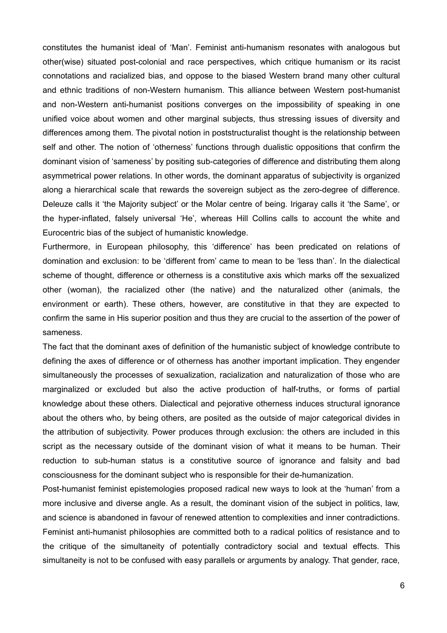constitutes the humanist ideal of 'Man'. Feminist anti-humanism resonates with analogous but other(wise) situated post-colonial and race perspectives, which critique humanism or its racist connotations and racialized bias, and oppose to the biased Western brand many other cultural and ethnic traditions of non-Western humanism. This alliance between Western post-humanist and non-Western anti-humanist positions converges on the impossibility of speaking in one unified voice about women and other marginal subjects, thus stressing issues of diversity and differences among them. The pivotal notion in poststructuralist thought is the relationship between self and other. The notion of 'otherness' functions through dualistic oppositions that confirm the dominant vision of 'sameness' by positing sub-categories of difference and distributing them along asymmetrical power relations. In other words, the dominant apparatus of subjectivity is organized along a hierarchical scale that rewards the sovereign subject as the zero-degree of difference. Deleuze calls it 'the Majority subject' or the Molar centre of being. Irigaray calls it 'the Same', or the hyper-inflated, falsely universal 'He', whereas Hill Collins calls to account the white and Eurocentric bias of the subject of humanistic knowledge.

Furthermore, in European philosophy, this 'difference' has been predicated on relations of domination and exclusion: to be 'different from' came to mean to be 'less than'. In the dialectical scheme of thought, difference or otherness is a constitutive axis which marks off the sexualized other (woman), the racialized other (the native) and the naturalized other (animals, the environment or earth). These others, however, are constitutive in that they are expected to confirm the same in His superior position and thus they are crucial to the assertion of the power of sameness.

The fact that the dominant axes of definition of the humanistic subject of knowledge contribute to defining the axes of difference or of otherness has another important implication. They engender simultaneously the processes of sexualization, racialization and naturalization of those who are marginalized or excluded but also the active production of half-truths, or forms of partial knowledge about these others. Dialectical and pejorative otherness induces structural ignorance about the others who, by being others, are posited as the outside of major categorical divides in the attribution of subjectivity. Power produces through exclusion: the others are included in this script as the necessary outside of the dominant vision of what it means to be human. Their reduction to sub-human status is a constitutive source of ignorance and falsity and bad consciousness for the dominant subject who is responsible for their de-humanization.

Post-humanist feminist epistemologies proposed radical new ways to look at the 'human' from a more inclusive and diverse angle. As a result, the dominant vision of the subject in politics, law, and science is abandoned in favour of renewed attention to complexities and inner contradictions. Feminist anti-humanist philosophies are committed both to a radical politics of resistance and to the critique of the simultaneity of potentially contradictory social and textual effects. This simultaneity is not to be confused with easy parallels or arguments by analogy. That gender, race,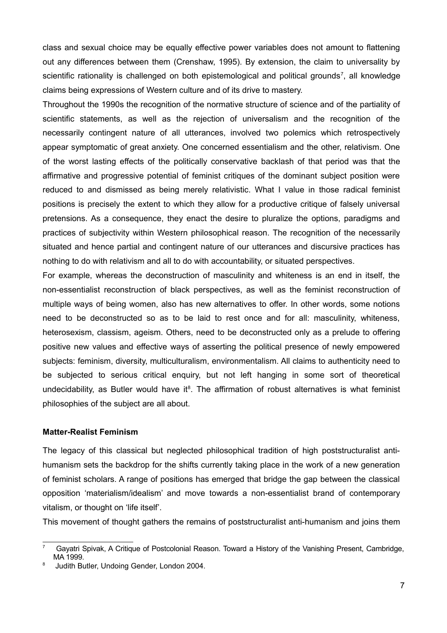class and sexual choice may be equally effective power variables does not amount to flattening out any differences between them (Crenshaw, 1995). By extension, the claim to universality by scientific rationality is challenged on both epistemological and political grounds<sup>[7](#page-3-0)</sup>, all knowledge claims being expressions of Western culture and of its drive to mastery.

Throughout the 1990s the recognition of the normative structure of science and of the partiality of scientific statements, as well as the rejection of universalism and the recognition of the necessarily contingent nature of all utterances, involved two polemics which retrospectively appear symptomatic of great anxiety. One concerned essentialism and the other, relativism. One of the worst lasting effects of the politically conservative backlash of that period was that the affirmative and progressive potential of feminist critiques of the dominant subject position were reduced to and dismissed as being merely relativistic. What I value in those radical feminist positions is precisely the extent to which they allow for a productive critique of falsely universal pretensions. As a consequence, they enact the desire to pluralize the options, paradigms and practices of subjectivity within Western philosophical reason. The recognition of the necessarily situated and hence partial and contingent nature of our utterances and discursive practices has nothing to do with relativism and all to do with accountability, or situated perspectives.

For example, whereas the deconstruction of masculinity and whiteness is an end in itself, the non-essentialist reconstruction of black perspectives, as well as the feminist reconstruction of multiple ways of being women, also has new alternatives to offer. In other words, some notions need to be deconstructed so as to be laid to rest once and for all: masculinity, whiteness, heterosexism, classism, ageism. Others, need to be deconstructed only as a prelude to offering positive new values and effective ways of asserting the political presence of newly empowered subjects: feminism, diversity, multiculturalism, environmentalism. All claims to authenticity need to be subjected to serious critical enquiry, but not left hanging in some sort of theoretical undecidability, as Butler would have it<sup>[8](#page-3-1)</sup>. The affirmation of robust alternatives is what feminist philosophies of the subject are all about.

## **Matter-Realist Feminism**

The legacy of this classical but neglected philosophical tradition of high poststructuralist antihumanism sets the backdrop for the shifts currently taking place in the work of a new generation of feminist scholars. A range of positions has emerged that bridge the gap between the classical opposition 'materialism/idealism' and move towards a non-essentialist brand of contemporary vitalism, or thought on 'life itself'.

This movement of thought gathers the remains of poststructuralist anti-humanism and joins them

<span id="page-3-0"></span><sup>7</sup> Gayatri Spivak, A Critique of Postcolonial Reason. Toward a History of the Vanishing Present, Cambridge, MA 1999.

<span id="page-3-1"></span><sup>8</sup> Judith Butler, Undoing Gender, London 2004.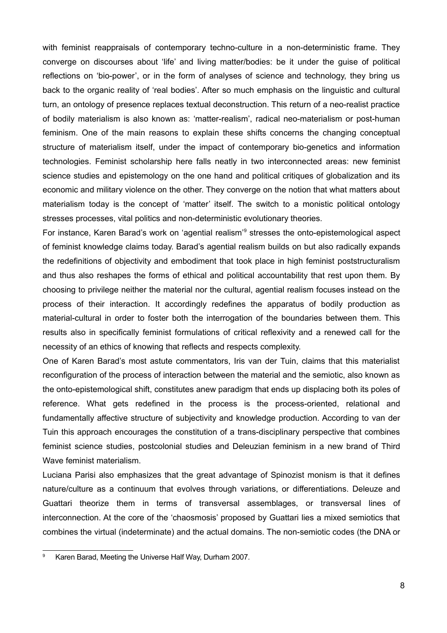with feminist reappraisals of contemporary techno-culture in a non-deterministic frame. They converge on discourses about 'life' and living matter/bodies: be it under the guise of political reflections on 'bio-power', or in the form of analyses of science and technology, they bring us back to the organic reality of 'real bodies'. After so much emphasis on the linguistic and cultural turn, an ontology of presence replaces textual deconstruction. This return of a neo-realist practice of bodily materialism is also known as: 'matter-realism', radical neo-materialism or post-human feminism. One of the main reasons to explain these shifts concerns the changing conceptual structure of materialism itself, under the impact of contemporary bio-genetics and information technologies. Feminist scholarship here falls neatly in two interconnected areas: new feminist science studies and epistemology on the one hand and political critiques of globalization and its economic and military violence on the other. They converge on the notion that what matters about materialism today is the concept of 'matter' itself. The switch to a monistic political ontology stresses processes, vital politics and non-deterministic evolutionary theories.

For instance, Karen Barad's work on 'agential realism'<sup>[9](#page-4-0)</sup> stresses the onto-epistemological aspect of feminist knowledge claims today. Barad's agential realism builds on but also radically expands the redefinitions of objectivity and embodiment that took place in high feminist poststructuralism and thus also reshapes the forms of ethical and political accountability that rest upon them. By choosing to privilege neither the material nor the cultural, agential realism focuses instead on the process of their interaction. It accordingly redefines the apparatus of bodily production as material-cultural in order to foster both the interrogation of the boundaries between them. This results also in specifically feminist formulations of critical reflexivity and a renewed call for the necessity of an ethics of knowing that reflects and respects complexity.

One of Karen Barad's most astute commentators, Iris van der Tuin, claims that this materialist reconfiguration of the process of interaction between the material and the semiotic, also known as the onto-epistemological shift, constitutes anew paradigm that ends up displacing both its poles of reference. What gets redefined in the process is the process-oriented, relational and fundamentally affective structure of subjectivity and knowledge production. According to van der Tuin this approach encourages the constitution of a trans-disciplinary perspective that combines feminist science studies, postcolonial studies and Deleuzian feminism in a new brand of Third Wave feminist materialism.

Luciana Parisi also emphasizes that the great advantage of Spinozist monism is that it defines nature/culture as a continuum that evolves through variations, or differentiations. Deleuze and Guattari theorize them in terms of transversal assemblages, or transversal lines of interconnection. At the core of the 'chaosmosis' proposed by Guattari lies a mixed semiotics that combines the virtual (indeterminate) and the actual domains. The non-semiotic codes (the DNA or

<span id="page-4-0"></span><sup>9</sup> Karen Barad, Meeting the Universe Half Way, Durham 2007.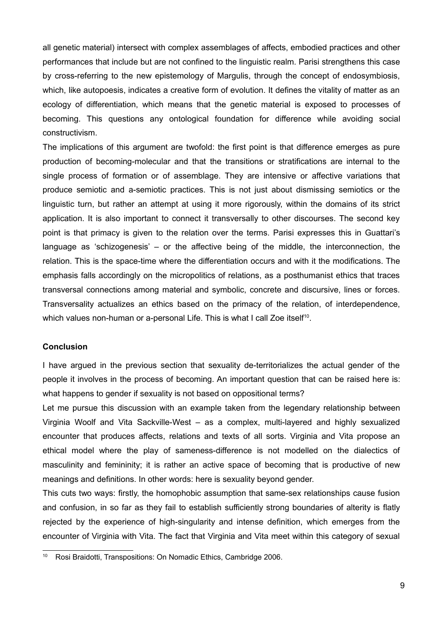all genetic material) intersect with complex assemblages of affects, embodied practices and other performances that include but are not confined to the linguistic realm. Parisi strengthens this case by cross-referring to the new epistemology of Margulis, through the concept of endosymbiosis, which, like autopoesis, indicates a creative form of evolution. It defines the vitality of matter as an ecology of differentiation, which means that the genetic material is exposed to processes of becoming. This questions any ontological foundation for difference while avoiding social constructivism.

The implications of this argument are twofold: the first point is that difference emerges as pure production of becoming-molecular and that the transitions or stratifications are internal to the single process of formation or of assemblage. They are intensive or affective variations that produce semiotic and a-semiotic practices. This is not just about dismissing semiotics or the linguistic turn, but rather an attempt at using it more rigorously, within the domains of its strict application. It is also important to connect it transversally to other discourses. The second key point is that primacy is given to the relation over the terms. Parisi expresses this in Guattari's language as 'schizogenesis' – or the affective being of the middle, the interconnection, the relation. This is the space-time where the differentiation occurs and with it the modifications. The emphasis falls accordingly on the micropolitics of relations, as a posthumanist ethics that traces transversal connections among material and symbolic, concrete and discursive, lines or forces. Transversality actualizes an ethics based on the primacy of the relation, of interdependence, which values non-human or a-personal Life. This is what I call Zoe itself<sup>[10](#page-5-0)</sup>.

## **Conclusion**

I have argued in the previous section that sexuality de-territorializes the actual gender of the people it involves in the process of becoming. An important question that can be raised here is: what happens to gender if sexuality is not based on oppositional terms?

Let me pursue this discussion with an example taken from the legendary relationship between Virginia Woolf and Vita Sackville-West – as a complex, multi-layered and highly sexualized encounter that produces affects, relations and texts of all sorts. Virginia and Vita propose an ethical model where the play of sameness-difference is not modelled on the dialectics of masculinity and femininity; it is rather an active space of becoming that is productive of new meanings and definitions. In other words: here is sexuality beyond gender.

This cuts two ways: firstly, the homophobic assumption that same-sex relationships cause fusion and confusion, in so far as they fail to establish sufficiently strong boundaries of alterity is flatly rejected by the experience of high-singularity and intense definition, which emerges from the encounter of Virginia with Vita. The fact that Virginia and Vita meet within this category of sexual

<span id="page-5-0"></span><sup>10</sup> Rosi Braidotti, Transpositions: On Nomadic Ethics, Cambridge 2006.